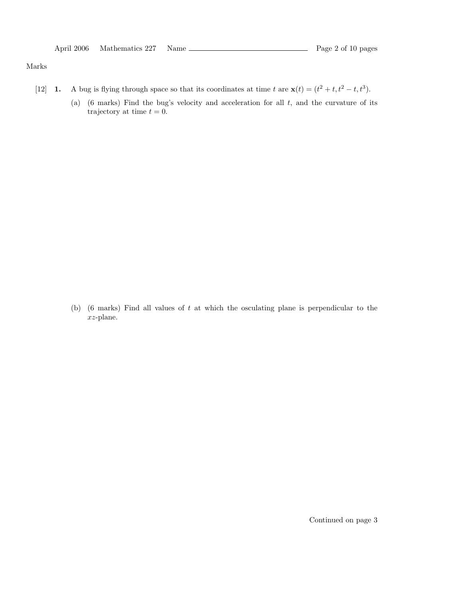|  | April 2006 Mathematics 227 Name |  | Page 2 of 10 pages |
|--|---------------------------------|--|--------------------|
|--|---------------------------------|--|--------------------|

#### Marks

- [12] **1.** A bug is flying through space so that its coordinates at time t are  $\mathbf{x}(t) = (t^2 + t, t^2 t, t^3)$ .
	- (a)  $(6 \text{ marks})$  Find the bug's velocity and acceleration for all t, and the curvature of its trajectory at time  $t = 0$ .

(b) (6 marks) Find all values of  $t$  at which the osculating plane is perpendicular to the xz-plane.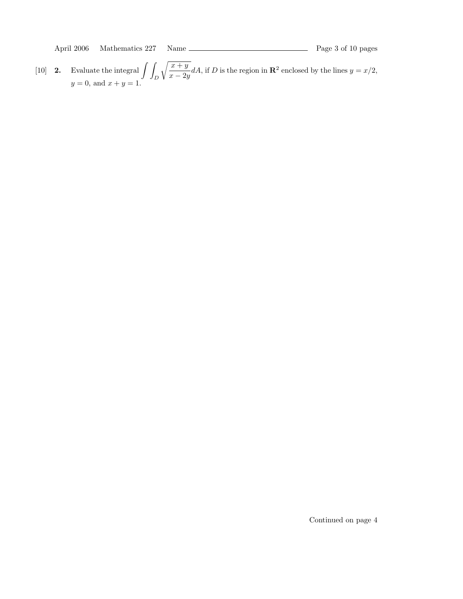April 2006 Mathematics 227 Name Page 3 of 10 pages

[10] **2.** Evaluate the integral  $\int$ D  $x + y$  $\frac{x+y}{x-2y}dA$ , if D is the region in  $\mathbb{R}^2$  enclosed by the lines  $y=x/2$ ,  $y = 0$ , and  $x + y = 1$ .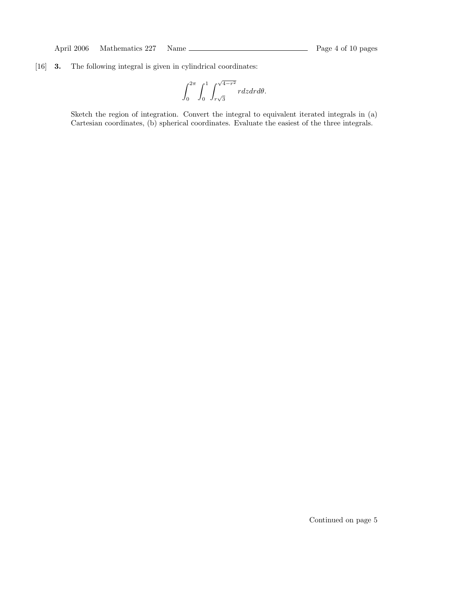## [16] 3. The following integral is given in cylindrical coordinates:

$$
\int_0^{2\pi} \int_0^1 \int_{r\sqrt{3}}^{\sqrt{4-r^2}} r dz dr d\theta.
$$

Sketch the region of integration. Convert the integral to equivalent iterated integrals in (a) Cartesian coordinates, (b) spherical coordinates. Evaluate the easiest of the three integrals.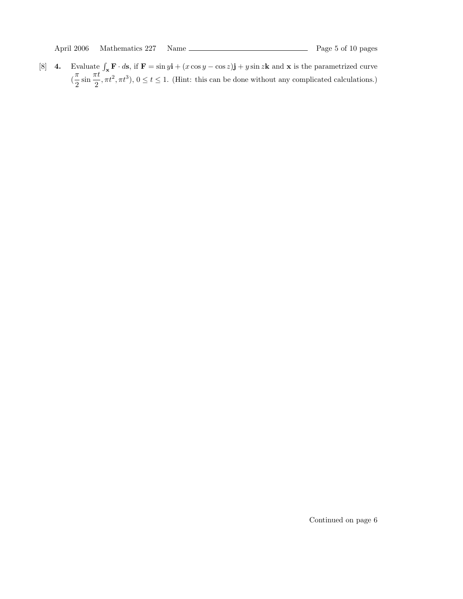[8] **4.** Evaluate  $\int_{\mathbf{x}} \mathbf{F} \cdot d\mathbf{s}$ , if  $\mathbf{F} = \sin y \mathbf{i} + (x \cos y - \cos z) \mathbf{j} + y \sin z \mathbf{k}$  and **x** is the parametrized curve  $\left(\frac{\pi}{2}\right)$  $\frac{\pi}{2} \sin \frac{\pi t}{2}$  $\frac{1}{2}$ ,  $\pi t^2$ ,  $\pi t^3$ ),  $0 \le t \le 1$ . (Hint: this can be done without any complicated calculations.)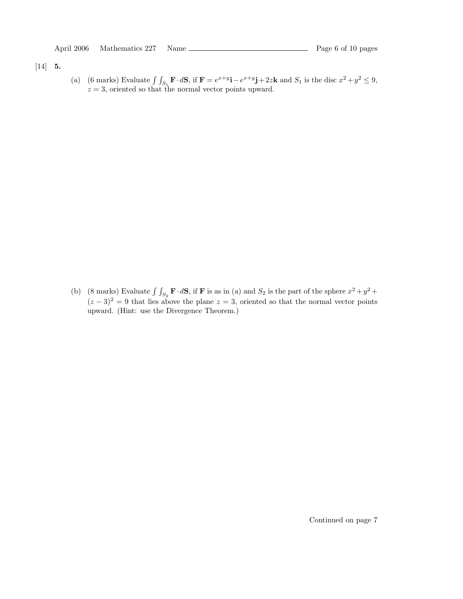## [14] 5.

(a) (6 marks) Evaluate  $\int \int_{S_1} \mathbf{F} \cdot d\mathbf{S}$ , if  $\mathbf{F} = e^{x+y} \mathbf{i} - e^{x+y} \mathbf{j} + 2z \mathbf{k}$  and  $S_1$  is the disc  $x^2 + y^2 \le 9$ ,  $z = 3$ , oriented so that the normal vector points upward.

(b) (8 marks) Evaluate  $\int \int_{S_2} \mathbf{F} \cdot d\mathbf{S}$ , if **F** is as in (a) and  $S_2$  is the part of the sphere  $x^2 + y^2 +$  $(z-3)^2=9$  that lies above the plane  $z=3$ , oriented so that the normal vector points upward. (Hint: use the Divergence Theorem.)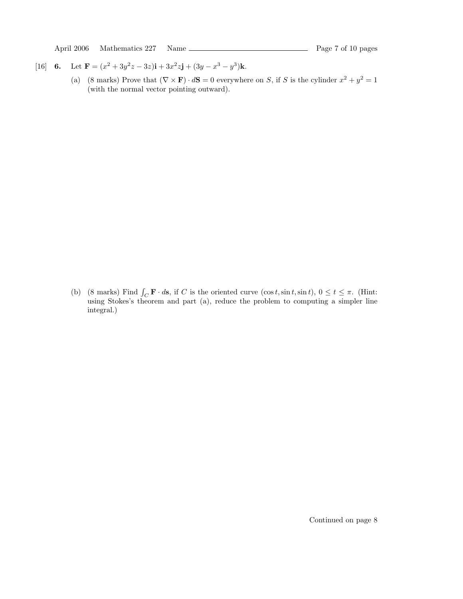April 2006 Mathematics 227 Name Page 7 of 10 pages

- [16] **6.** Let  $\mathbf{F} = (x^2 + 3y^2z 3z)\mathbf{i} + 3x^2z\mathbf{j} + (3y x^3 y^3)\mathbf{k}$ .
	- (a) (8 marks) Prove that  $(\nabla \times \mathbf{F}) \cdot d\mathbf{S} = 0$  everywhere on S, if S is the cylinder  $x^2 + y^2 = 1$ (with the normal vector pointing outward).

(b) (8 marks) Find  $\int_C \mathbf{F} \cdot d\mathbf{s}$ , if C is the oriented curve  $(\cos t, \sin t, \sin t)$ ,  $0 \le t \le \pi$ . (Hint: using Stokes's theorem and part (a), reduce the problem to computing a simpler line integral.)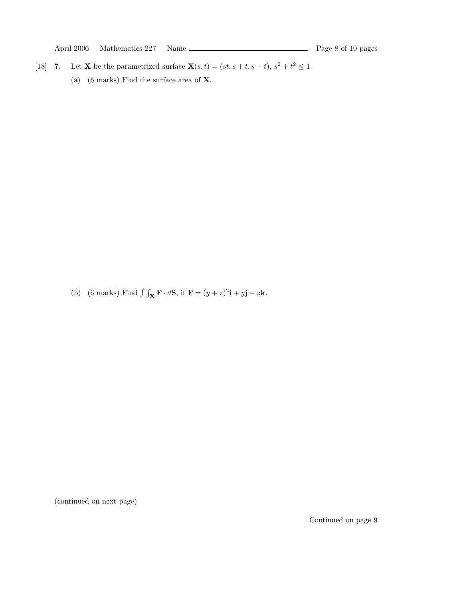April 2006 Mathematics 227 Name Page 8 of 10 pages

- [18] 7. Let **X** be the parametrized surface  $\mathbf{X}(s,t) = (st, s+t, s-t), s^2+t^2 \leq 1$ .
	- (a) (6 marks) Find the surface area of X.

(b) (6 marks) Find  $\int \int_{\mathbf{X}} \mathbf{F} \cdot d\mathbf{S}$ , if  $\mathbf{F} = (y+z)^2 \mathbf{i} + y \mathbf{j} + z \mathbf{k}$ .

(continued on next page)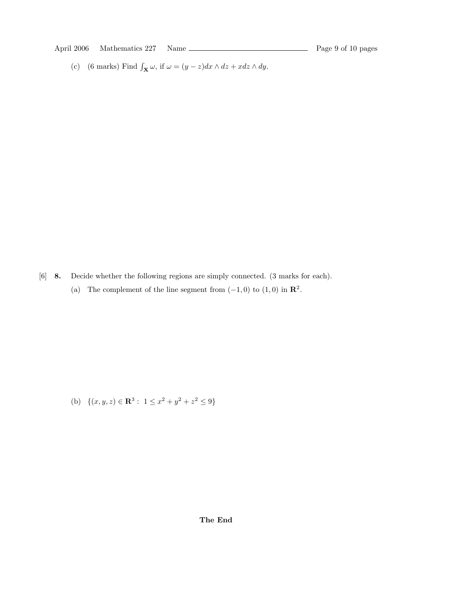April 2006 Mathematics 227 Name Page 9 of 10 pages

(c) (6 marks) Find  $\int_{\mathbf{X}} \omega$ , if  $\omega = (y - z)dx \wedge dz + xdz \wedge dy$ .

[6] 8. Decide whether the following regions are simply connected. (3 marks for each). (a) The complement of the line segment from  $(-1,0)$  to  $(1,0)$  in  $\mathbb{R}^2$ .

(b)  $\{(x, y, z) \in \mathbb{R}^3 : 1 \leq x^2 + y^2 + z^2 \leq 9\}$